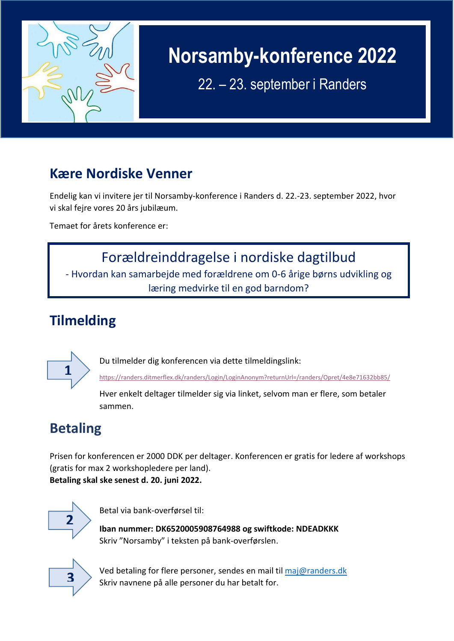

## **Norsamby-konference 2022**

22. – 23. september i Randers

#### **Kære Nordiske Venner**

Endelig kan vi invitere jer til Norsamby-konference i Randers d. 22.-23. september 2022, hvor vi skal fejre vores 20 års jubilæum.

Temaet for årets konference er:

## Forældreinddragelse i nordiske dagtilbud - Hvordan kan samarbejde med forældrene om 0-6 årige børns udvikling og

#### læring medvirke til en god barndom?

## **Tilmelding**



Du tilmelder dig konferencen via dette tilmeldingslink:

<https://randers.ditmerflex.dk/randers/Login/LoginAnonym?returnUrl=/randers/Opret/4e8e71632bb85/>

Hver enkelt deltager tilmelder sig via linket, selvom man er flere, som betaler sammen.

### **Betaling**

Prisen for konferencen er 2000 DDK per deltager. Konferencen er gratis for ledere af workshops (gratis for max 2 workshopledere per land). **Betaling skal ske senest d. 20. juni 2022.**



Betal via bank-overførsel til:

**Iban nummer: DK6520005908764988 og swiftkode: NDEADKKK** Skriv "Norsamby" i teksten på bank-overførslen.



Ved betaling for flere personer, sendes en mail ti[l maj@randers.dk](mailto:maj@randers.dk) Skriv navnene på alle personer du har betalt for.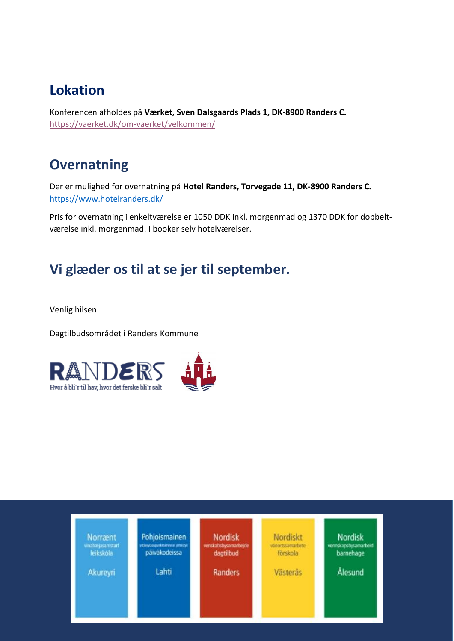#### **Lokation**

Konferencen afholdes på **Værket, Sven Dalsgaards Plads 1, DK-8900 Randers C.** <https://vaerket.dk/om-vaerket/velkommen/>

#### **Overnatning**

Der er mulighed for overnatning på **Hotel Randers, Torvegade 11, DK-8900 Randers C.** <https://www.hotelranders.dk/>

Pris for overnatning i enkeltværelse er 1050 DDK inkl. morgenmad og 1370 DDK for dobbeltværelse inkl. morgenmad. I booker selv hotelværelser.

#### **Vi glæder os til at se jer til september.**

Venlig hilsen

Dagtilbudsområdet i Randers Kommune